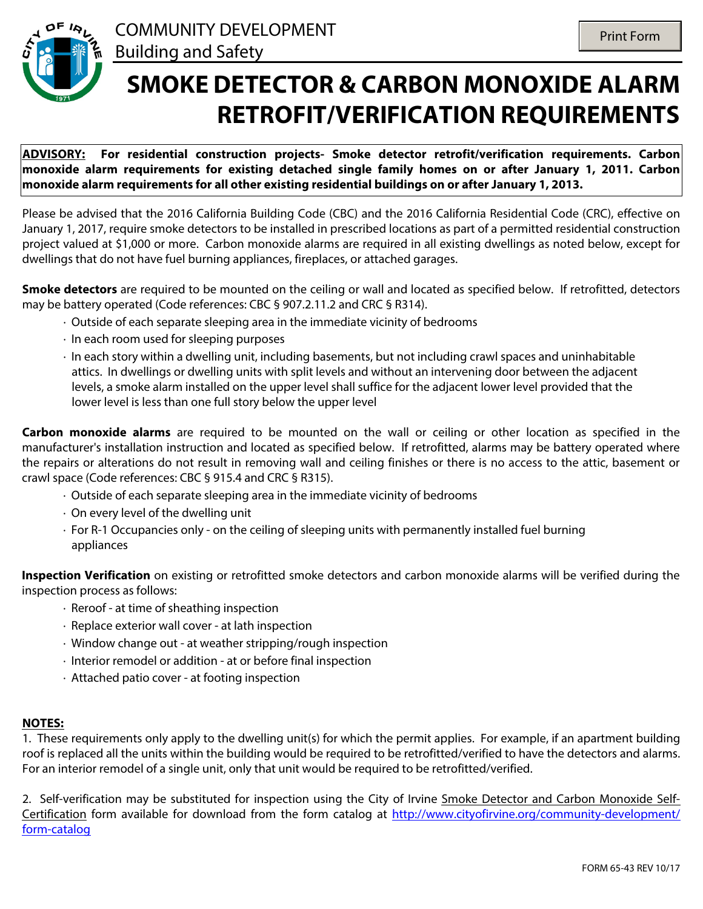

## **SMOKE DETECTOR & CARBON MONOXIDE ALARM RETROFIT/VERIFICATION REQUIREMENTS**

**ADVISORY: For residential construction projects- Smoke detector retrofit/verification requirements. Carbon monoxide alarm requirements for existing detached single family homes on or after January 1, 2011. Carbon monoxide alarm requirements for all other existing residential buildings on or after January 1, 2013.**

Please be advised that the 2016 California Building Code (CBC) and the 2016 California Residential Code (CRC), effective on January 1, 2017, require smoke detectors to be installed in prescribed locations as part of a permitted residential construction project valued at \$1,000 or more. Carbon monoxide alarms are required in all existing dwellings as noted below, except for dwellings that do not have fuel burning appliances, fireplaces, or attached garages.

**Smoke detectors** are required to be mounted on the ceiling or wall and located as specified below. If retrofitted, detectors may be battery operated (Code references: CBC § 907.2.11.2 and CRC § R314).

- · Outside of each separate sleeping area in the immediate vicinity of bedrooms
- · In each room used for sleeping purposes
- · In each story within a dwelling unit, including basements, but not including crawl spaces and uninhabitable attics. In dwellings or dwelling units with split levels and without an intervening door between the adjacent levels, a smoke alarm installed on the upper level shall suffice for the adjacent lower level provided that the lower level is less than one full story below the upper level

**Carbon monoxide alarms** are required to be mounted on the wall or ceiling or other location as specified in the manufacturer's installation instruction and located as specified below. If retrofitted, alarms may be battery operated where the repairs or alterations do not result in removing wall and ceiling finishes or there is no access to the attic, basement or crawl space (Code references: CBC § 915.4 and CRC § R315).

- · Outside of each separate sleeping area in the immediate vicinity of bedrooms
- · On every level of the dwelling unit
- · For R-1 Occupancies only on the ceiling of sleeping units with permanently installed fuel burning appliances

**Inspection Verification** on existing or retrofitted smoke detectors and carbon monoxide alarms will be verified during the inspection process as follows:

- · Reroof at time of sheathing inspection
- · Replace exterior wall cover at lath inspection
- · Window change out at weather stripping/rough inspection
- · Interior remodel or addition at or before final inspection
- · Attached patio cover at footing inspection

## **NOTES:**

1. These requirements only apply to the dwelling unit(s) for which the permit applies. For example, if an apartment building roof is replaced all the units within the building would be required to be retrofitted/verified to have the detectors and alarms. For an interior remodel of a single unit, only that unit would be required to be retrofitted/verified.

2. Self-verification may be substituted for inspection using the City of Irvine Smoke Detector and Carbon Monoxide Self-Certification form available for download from the form catalog at [http://www.cityofirvine.org/community-development/](http://www.cityofirvine.org/community-development/form-catalog) [form-catalog](http://www.cityofirvine.org/community-development/form-catalog)